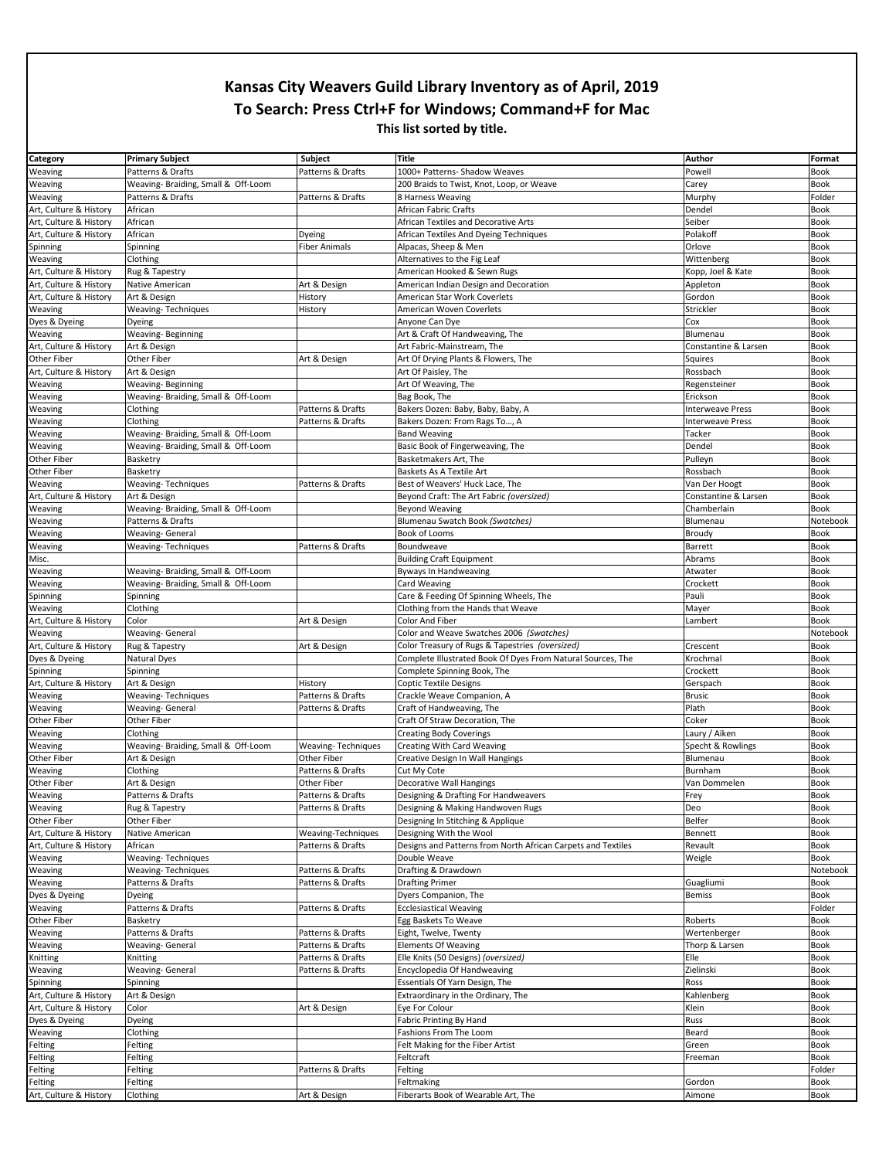| Category               | <b>Primary Subject</b>              | Subject                   | <b>Title</b>                                                 | Author                  | Format      |
|------------------------|-------------------------------------|---------------------------|--------------------------------------------------------------|-------------------------|-------------|
| Weaving                | Patterns & Drafts                   | Patterns & Drafts         | 1000+ Patterns- Shadow Weaves                                | Powell                  | Book        |
| Weaving                | Weaving- Braiding, Small & Off-Loom |                           | 200 Braids to Twist, Knot, Loop, or Weave                    | Carey                   | Book        |
| Weaving                | Patterns & Drafts                   | Patterns & Drafts         | 8 Harness Weaving                                            | Murphy                  | Folder      |
| Art, Culture & History | African                             |                           | African Fabric Crafts                                        | Dendel                  | <b>Book</b> |
| Art, Culture & History | African                             |                           | African Textiles and Decorative Arts                         | Seiber                  | <b>Book</b> |
| Art, Culture & History | African                             | Dyeing                    | African Textiles And Dyeing Techniques                       | Polakoff                | <b>Book</b> |
| Spinning               | Spinning                            | <b>Fiber Animals</b>      | Alpacas, Sheep & Men                                         | Orlove                  | <b>Book</b> |
| Weaving                | Clothing                            |                           | Alternatives to the Fig Leaf                                 | Wittenberg              | <b>Book</b> |
| Art, Culture & History | Rug & Tapestry                      |                           | American Hooked & Sewn Rugs                                  | Kopp, Joel & Kate       | Book        |
| Art, Culture & History | Native American                     | Art & Design              | American Indian Design and Decoration                        | Appleton                | Book        |
| Art, Culture & History | Art & Design                        | History                   | American Star Work Coverlets                                 | Gordon                  | <b>Book</b> |
| Weaving                | Weaving-Techniques                  | History                   | American Woven Coverlets                                     | Strickler               | <b>Book</b> |
| Dyes & Dyeing          | Dyeing                              |                           | Anyone Can Dye                                               | Cox                     | <b>Book</b> |
| Weaving                | Weaving-Beginning                   |                           | Art & Craft Of Handweaving, The                              | Blumenau                | <b>Book</b> |
| Art, Culture & History | Art & Design                        |                           | Art Fabric-Mainstream, The                                   | Constantine & Larsen    | <b>Book</b> |
| Other Fiber            | Other Fiber                         | Art & Design              | Art Of Drying Plants & Flowers, The                          | Squires                 | <b>Book</b> |
| Art, Culture & History | Art & Design                        |                           | Art Of Paisley, The                                          | Rossbach                | <b>Book</b> |
| Weaving                | Weaving-Beginning                   |                           | Art Of Weaving, The                                          | Regensteiner            | Book        |
| Weaving                | Weaving-Braiding, Small & Off-Loom  |                           | Bag Book, The                                                | Erickson                | <b>Book</b> |
| Weaving                | Clothing                            | Patterns & Drafts         | Bakers Dozen: Baby, Baby, Baby, A                            | <b>Interweave Press</b> | <b>Book</b> |
| Weaving                | Clothing                            | Patterns & Drafts         | Bakers Dozen: From Rags To, A                                | <b>Interweave Press</b> | <b>Book</b> |
| Weaving                | Weaving- Braiding, Small & Off-Loom |                           | <b>Band Weaving</b>                                          | Tacker                  | Book        |
| Weaving                | Weaving- Braiding, Small & Off-Loom |                           | Basic Book of Fingerweaving, The                             | Dendel                  | <b>Book</b> |
| Other Fiber            | Basketry                            |                           | Basketmakers Art, The                                        | Pulleyn                 | <b>Book</b> |
| Other Fiber            | Basketry                            |                           | Baskets As A Textile Art                                     | Rossbach                | <b>Book</b> |
| Weaving                | Weaving-Techniques                  | Patterns & Drafts         | Best of Weavers' Huck Lace, The                              | Van Der Hoogt           | <b>Book</b> |
| Art, Culture & History | Art & Design                        |                           | Beyond Craft: The Art Fabric (oversized)                     | Constantine & Larsen    | <b>Book</b> |
| Weaving                | Weaving- Braiding, Small & Off-Loom |                           | <b>Beyond Weaving</b>                                        | Chamberlain             | Book        |
| Weaving                | Patterns & Drafts                   |                           | Blumenau Swatch Book (Swatches)                              | Blumenau                | Notebook    |
| Weaving                | <b>Weaving- General</b>             |                           | Book of Looms                                                | Broudy                  | <b>Book</b> |
| Weaving                | <b>Weaving-Techniques</b>           | Patterns & Drafts         | Boundweave                                                   | Barrett                 | <b>Book</b> |
| Misc.                  |                                     |                           | <b>Building Craft Equipment</b>                              | Abrams                  | <b>Book</b> |
| Weaving                | Weaving- Braiding, Small & Off-Loom |                           | <b>Byways In Handweaving</b>                                 | Atwater                 | <b>Book</b> |
| Weaving                | Weaving- Braiding, Small & Off-Loom |                           | <b>Card Weaving</b>                                          | Crockett                | <b>Book</b> |
| Spinning               | Spinning                            |                           | Care & Feeding Of Spinning Wheels, The                       | Pauli                   | <b>Book</b> |
| Weaving                | Clothing                            |                           | Clothing from the Hands that Weave                           | Mayer                   | <b>Book</b> |
| Art, Culture & History | Color                               | Art & Design              | Color And Fiber                                              | Lambert                 | Book        |
| Weaving                | <b>Weaving- General</b>             |                           | Color and Weave Swatches 2006 (Swatches)                     |                         | Notebook    |
| Art, Culture & History | Rug & Tapestry                      | Art & Design              | Color Treasury of Rugs & Tapestries (oversized)              | Crescent                | <b>Book</b> |
| Dyes & Dyeing          | Natural Dyes                        |                           | Complete Illustrated Book Of Dyes From Natural Sources, The  | Krochmal                | Book        |
| Spinning               | Spinning                            |                           | Complete Spinning Book, The                                  | Crockett                | <b>Book</b> |
| Art, Culture & History | Art & Design                        | History                   | <b>Coptic Textile Designs</b>                                | Gerspach                | Book        |
| Weaving                | <b>Weaving-Techniques</b>           | Patterns & Drafts         | Crackle Weave Companion, A                                   | <b>Brusic</b>           | <b>Book</b> |
| Weaving                | Weaving- General                    | Patterns & Drafts         | Craft of Handweaving, The                                    | Plath                   | <b>Book</b> |
| Other Fiber            | Other Fiber                         |                           | Craft Of Straw Decoration, The                               | Coker                   | <b>Book</b> |
| Weaving                | Clothing                            |                           | <b>Creating Body Coverings</b>                               | Laury / Aiken           | <b>Book</b> |
| Weaving                | Weaving- Braiding, Small & Off-Loom | <b>Weaving-Techniques</b> | Creating With Card Weaving                                   | Specht & Rowlings       | <b>Book</b> |
| Other Fiber            | Art & Design                        | Other Fiber               | Creative Design In Wall Hangings                             | Blumenau                | <b>Book</b> |
| Weaving                | Clothing                            | Patterns & Drafts         | Cut My Cote                                                  | Burnham                 | <b>Book</b> |
| Other Fiber            | Art & Design                        | Other Fiber               | Decorative Wall Hangings                                     | Van Dommelen            | <b>Book</b> |
| Weaving                | Patterns & Drafts                   | Patterns & Drafts         | Designing & Drafting For Handweavers                         | Frey                    | <b>Book</b> |
| Weaving                | Rug & Tapestry                      | Patterns & Drafts         | Designing & Making Handwoven Rugs                            | Deo                     | Book        |
| Other Fiber            | Other Fiber                         |                           | Designing In Stitching & Applique                            | Belfer                  | <b>Book</b> |
| Art, Culture & History | Native American                     | Weaving-Techniques        | Designing With the Wool                                      | Bennett                 | Book        |
| Art, Culture & History | African                             | Patterns & Drafts         | Designs and Patterns from North African Carpets and Textiles | Revault                 | Book        |
| Weaving                | <b>Weaving-Techniques</b>           |                           | Double Weave                                                 | Weigle                  | <b>Book</b> |
| Weaving                | Weaving-Techniques                  | Patterns & Drafts         | Drafting & Drawdown                                          |                         | Notebook    |
| Weaving                | Patterns & Drafts                   | Patterns & Drafts         | <b>Drafting Primer</b>                                       | Guagliumi               | Book        |
| Dyes & Dyeing          | Dyeing                              |                           | Dyers Companion, The                                         | <b>Bemiss</b>           | Book        |
| Weaving                | Patterns & Drafts                   | Patterns & Drafts         | <b>Ecclesiastical Weaving</b>                                |                         | Folder      |
| Other Fiber            | Basketry                            |                           | Egg Baskets To Weave                                         | Roberts                 | Book        |
| Weaving                | Patterns & Drafts                   | Patterns & Drafts         | Eight, Twelve, Twenty                                        | Wertenberger            | Book        |
| Weaving                | <b>Weaving- General</b>             | Patterns & Drafts         | <b>Elements Of Weaving</b>                                   | Thorp & Larsen          | <b>Book</b> |
| Knitting               | Knitting                            | Patterns & Drafts         | Elle Knits (50 Designs) (oversized)                          | Elle                    | Book        |
| Weaving                | <b>Weaving-General</b>              | Patterns & Drafts         | Encyclopedia Of Handweaving                                  | Zielinski               | Book        |
| Spinning               | Spinning                            |                           | Essentials Of Yarn Design, The                               | Ross                    | <b>Book</b> |
| Art, Culture & History | Art & Design                        |                           | Extraordinary in the Ordinary, The                           | Kahlenberg              | Book        |
| Art, Culture & History | Color                               | Art & Design              | Eye For Colour                                               | Klein                   | Book        |
| Dyes & Dyeing          | Dyeing                              |                           | Fabric Printing By Hand                                      | Russ                    | <b>Book</b> |
| Weaving                | Clothing                            |                           | Fashions From The Loom                                       | Beard                   | Book        |
| Felting                | Felting                             |                           | Felt Making for the Fiber Artist                             | Green                   | Book        |
| Felting                | Felting                             |                           | Feltcraft                                                    | Freeman                 | <b>Book</b> |
| Felting                | Felting                             | Patterns & Drafts         | Felting                                                      |                         | Folder      |
| Felting                | Felting                             |                           | Feltmaking                                                   | Gordon                  | Book        |
| Art, Culture & History | Clothing                            | Art & Design              | Fiberarts Book of Wearable Art, The                          | Aimone                  | Book        |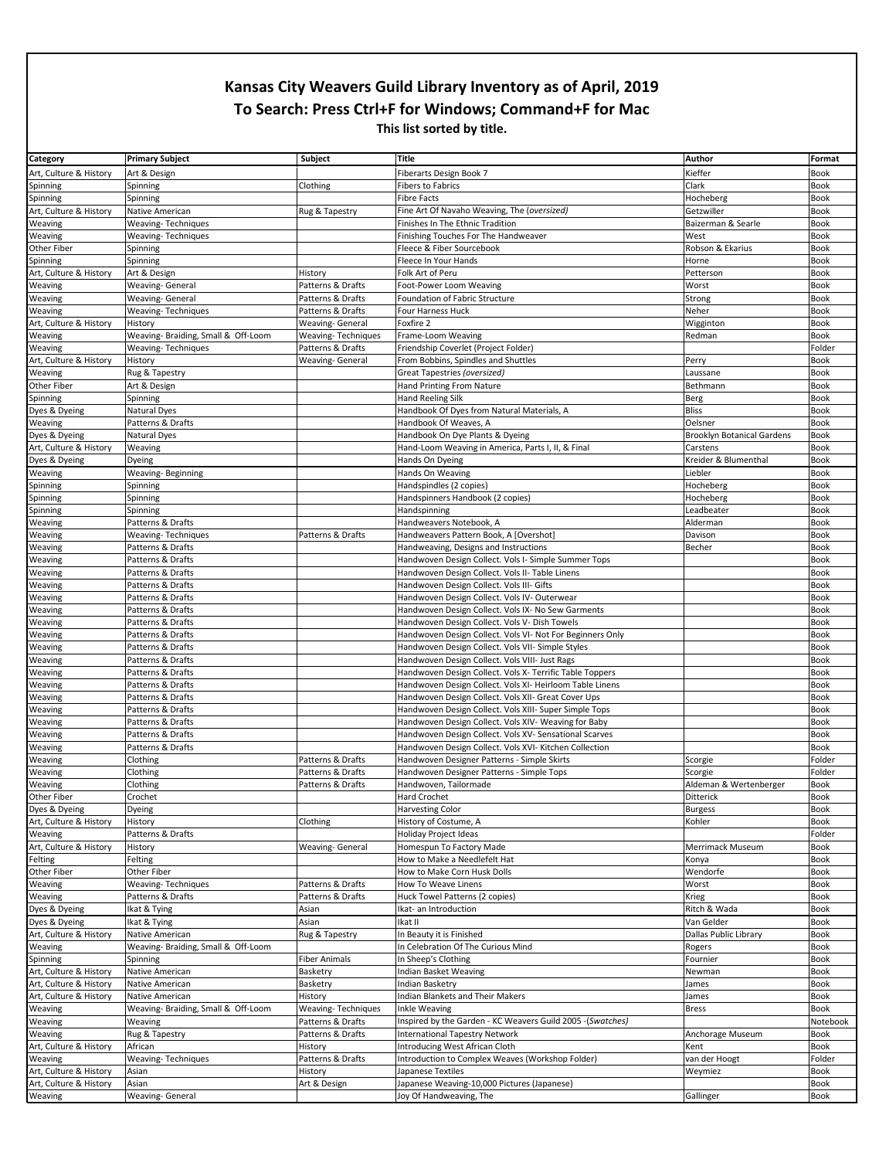| Category                                         | <b>Primary Subject</b>                         | <b>Subject</b>                                 | Title                                                      | Author                            | Format              |
|--------------------------------------------------|------------------------------------------------|------------------------------------------------|------------------------------------------------------------|-----------------------------------|---------------------|
| Art, Culture & History                           | Art & Design                                   |                                                | Fiberarts Design Book 7                                    | Kieffer                           | <b>Book</b>         |
| Spinning                                         | Spinning                                       | Clothing                                       | Fibers to Fabrics                                          | Clark                             | <b>Book</b>         |
| Spinning                                         | Spinning                                       |                                                | <b>Fibre Facts</b>                                         | Hocheberg                         | <b>Book</b>         |
| Art, Culture & History                           | Native American                                | Rug & Tapestry                                 | Fine Art Of Navaho Weaving, The (oversized)                | Getzwiller                        | Book                |
| Weaving                                          | <b>Weaving-Techniques</b>                      |                                                | Finishes In The Ethnic Tradition                           | Baizerman & Searle                | <b>Book</b>         |
| Weaving                                          | <b>Weaving-Techniques</b>                      |                                                | Finishing Touches For The Handweaver                       | West                              | <b>Book</b>         |
| Other Fiber                                      | Spinning                                       |                                                | Fleece & Fiber Sourcebook                                  | Robson & Ekarius                  | <b>Book</b>         |
| Spinning                                         | Spinning                                       |                                                | Fleece In Your Hands                                       | Horne                             | <b>Book</b>         |
| Art, Culture & History                           | Art & Design                                   | History                                        | Folk Art of Peru                                           | Petterson                         | <b>Book</b>         |
| Weaving                                          | Weaving- General                               | Patterns & Drafts                              | Foot-Power Loom Weaving                                    | Worst                             | Book                |
| Weaving                                          | Weaving- General                               | Patterns & Drafts                              | Foundation of Fabric Structure                             | Strong                            | Book                |
| Weaving                                          | <b>Weaving-Techniques</b>                      | Patterns & Drafts                              | Four Harness Huck                                          | Neher                             | Book                |
| Art, Culture & History                           | History                                        | <b>Weaving- General</b>                        | Foxfire 2                                                  | Wigginton                         | <b>Book</b>         |
| Weaving                                          | Weaving- Braiding, Small & Off-Loom            | Weaving-Techniques                             | Frame-Loom Weaving                                         | Redman                            | <b>Book</b>         |
| Weaving                                          | <b>Weaving-Techniques</b>                      | Patterns & Drafts                              | Friendship Coverlet (Project Folder)                       |                                   | Folder              |
| Art, Culture & History                           | History                                        | Weaving- General                               | From Bobbins, Spindles and Shuttles                        | Perry                             | Book                |
| Weaving                                          | Rug & Tapestry                                 |                                                | Great Tapestries (oversized)                               | Laussane                          | Book                |
| Other Fiber                                      | Art & Design                                   |                                                | Hand Printing From Nature                                  | Bethmann                          | <b>Book</b>         |
| Spinning                                         | Spinning                                       |                                                | <b>Hand Reeling Silk</b>                                   | Berg                              | <b>Book</b>         |
| Dyes & Dyeing                                    | <b>Natural Dyes</b>                            |                                                | Handbook Of Dyes from Natural Materials, A                 | <b>Bliss</b>                      | <b>Book</b>         |
| Weaving                                          | Patterns & Drafts                              |                                                | Handbook Of Weaves, A                                      | Oelsner                           | Book                |
| Dyes & Dyeing                                    | <b>Natural Dyes</b>                            |                                                | Handbook On Dye Plants & Dyeing                            | <b>Brooklyn Botanical Gardens</b> | Book                |
| Art, Culture & History                           | Weaving                                        |                                                | Hand-Loom Weaving in America, Parts I, II, & Final         | Carstens                          | <b>Book</b>         |
| Dyes & Dyeing                                    | Dyeing                                         |                                                | Hands On Dyeing                                            | Kreider & Blumenthal              | <b>Book</b>         |
| Weaving                                          | Weaving-Beginning                              |                                                | Hands On Weaving                                           | Liebler                           | <b>Book</b>         |
| Spinning                                         | Spinning                                       |                                                | Handspindles (2 copies)                                    | Hocheberg                         | Book                |
| Spinning                                         | Spinning                                       |                                                | Handspinners Handbook (2 copies)                           | Hocheberg                         | <b>Book</b>         |
| Spinning                                         | Spinning                                       |                                                | Handspinning                                               | Leadbeater                        | Book                |
| Weaving                                          | Patterns & Drafts                              |                                                | Handweavers Notebook, A                                    | Alderman                          | Book                |
| Weaving                                          | <b>Weaving-Techniques</b>                      | Patterns & Drafts                              | Handweavers Pattern Book, A [Overshot]                     | Davison                           | <b>Book</b>         |
| Weaving                                          | Patterns & Drafts                              |                                                | Handweaving, Designs and Instructions                      | Becher                            | Book                |
| Weaving                                          | Patterns & Drafts                              |                                                | Handwoven Design Collect. Vols I- Simple Summer Tops       |                                   | <b>Book</b>         |
| Weaving                                          | Patterns & Drafts                              |                                                | Handwoven Design Collect. Vols II- Table Linens            |                                   | <b>Book</b>         |
| Weaving                                          | Patterns & Drafts                              |                                                | Handwoven Design Collect. Vols III- Gifts                  |                                   | Book                |
| Weaving                                          | Patterns & Drafts                              |                                                | Handwoven Design Collect. Vols IV- Outerwear               |                                   | Book                |
| Weaving                                          | Patterns & Drafts                              |                                                | Handwoven Design Collect. Vols IX- No Sew Garments         |                                   | <b>Book</b>         |
| Weaving                                          | Patterns & Drafts                              |                                                | Handwoven Design Collect. Vols V- Dish Towels              |                                   | Book                |
|                                                  |                                                |                                                |                                                            |                                   |                     |
| Weaving                                          | Patterns & Drafts                              |                                                | Handwoven Design Collect. Vols VI- Not For Beginners Only  |                                   | Book                |
| Weaving                                          | Patterns & Drafts                              |                                                | Handwoven Design Collect. Vols VII- Simple Styles          |                                   | <b>Book</b>         |
| Weaving                                          | Patterns & Drafts                              |                                                | Handwoven Design Collect. Vols VIII- Just Rags             |                                   | Book                |
| Weaving                                          | Patterns & Drafts                              |                                                | Handwoven Design Collect. Vols X- Terrific Table Toppers   |                                   | Book                |
| Weaving                                          | Patterns & Drafts                              |                                                | Handwoven Design Collect. Vols XI- Heirloom Table Linens   |                                   | <b>Book</b>         |
| Weaving                                          | Patterns & Drafts                              |                                                | Handwoven Design Collect. Vols XII- Great Cover Ups        |                                   | Book                |
| Weaving                                          | Patterns & Drafts                              |                                                | Handwoven Design Collect. Vols XIII- Super Simple Tops     |                                   | <b>Book</b>         |
| Weaving                                          | Patterns & Drafts                              |                                                | Handwoven Design Collect. Vols XIV- Weaving for Baby       |                                   | Book                |
| Weaving                                          | Patterns & Drafts                              |                                                | Handwoven Design Collect. Vols XV- Sensational Scarves     |                                   | <b>Book</b>         |
| Weaving                                          | Patterns & Drafts                              |                                                | Handwoven Design Collect. Vols XVI- Kitchen Collection     |                                   | Book                |
| Weaving                                          | Clothing                                       | Patterns & Drafts                              | Handwoven Designer Patterns - Simple Skirts                | Scorgie                           | Folder              |
| Weaving                                          | Clothing                                       | Patterns & Drafts                              | Handwoven Designer Patterns - Simple Tops                  | Scorgie                           | Folder              |
| Weaving                                          | Clothing                                       | Patterns & Drafts                              | Handwoven, Tailormade                                      | Aldeman & Wertenberger            | Book                |
| Other Fiber                                      | Crochet                                        |                                                | Hard Crochet                                               | Ditterick                         | Book                |
| Dyes & Dyeing                                    | Dyeing                                         |                                                | <b>Harvesting Color</b>                                    | Burgess                           | Book                |
| Art, Culture & History                           | History                                        | Clothing                                       | History of Costume, A                                      | Kohler                            | <b>Book</b>         |
| Weaving                                          | Patterns & Drafts                              |                                                | Holiday Project Ideas                                      |                                   | Folder              |
| Art, Culture & History                           | History                                        | <b>Weaving-General</b>                         | Homespun To Factory Made                                   | Merrimack Museum                  | Book                |
| Felting                                          | Felting                                        |                                                | How to Make a Needlefelt Hat                               | Konya                             | <b>Book</b>         |
| Other Fiber                                      | Other Fiber                                    |                                                | How to Make Corn Husk Dolls                                | Wendorfe                          | <b>Book</b>         |
| Weaving                                          | <b>Weaving-Techniques</b>                      | Patterns & Drafts                              | How To Weave Linens                                        | Worst                             | Book                |
| Weaving                                          | Patterns & Drafts                              | Patterns & Drafts                              | Huck Towel Patterns (2 copies)                             | Krieg                             | Book                |
| Dyes & Dyeing                                    | Ikat & Tying                                   | Asian                                          | Ikat- an Introduction                                      | Ritch & Wada                      | <b>Book</b>         |
| Dyes & Dyeing                                    | Ikat & Tying                                   | Asian                                          | Ikat II                                                    | Van Gelder                        | Book                |
| Art, Culture & History                           | Native American                                | Rug & Tapestry                                 | In Beauty it is Finished                                   | Dallas Public Library             | Book                |
| Weaving                                          | Weaving- Braiding, Small & Off-Loom            |                                                | In Celebration Of The Curious Mind                         | Rogers                            | <b>Book</b>         |
| Spinning                                         | Spinning                                       | <b>Fiber Animals</b>                           | In Sheep's Clothing                                        | Fournier                          | <b>Book</b>         |
| Art, Culture & History<br>Art, Culture & History | Native American                                | Basketry<br>Basketry                           | Indian Basket Weaving                                      | Newman                            | Book                |
|                                                  | Native American                                |                                                | Indian Basketry                                            | James                             | Book                |
| Art, Culture & History                           | Native American                                | History                                        | Indian Blankets and Their Makers<br>Inkle Weaving          | James<br><b>Bress</b>             | Book<br><b>Book</b> |
| Weaving<br>Weaving                               | Weaving- Braiding, Small & Off-Loom<br>Weaving | <b>Weaving-Techniques</b><br>Patterns & Drafts | Inspired by the Garden - KC Weavers Guild 2005 -(Swatches) |                                   | Notebook            |
|                                                  | Rug & Tapestry                                 | Patterns & Drafts                              | <b>International Tapestry Network</b>                      | Anchorage Museum                  | Book                |
| Weaving                                          | African                                        | History                                        | Introducing West African Cloth                             | Kent                              | Book                |
| Art, Culture & History<br>Weaving                | <b>Weaving-Techniques</b>                      | Patterns & Drafts                              | Introduction to Complex Weaves (Workshop Folder)           | van der Hoogt                     | Folder              |
| Art, Culture & History                           | Asian                                          | History                                        | Japanese Textiles                                          | Weymiez                           | Book                |
| Art, Culture & History                           | Asian                                          | Art & Design                                   | Japanese Weaving-10,000 Pictures (Japanese)                |                                   | Book                |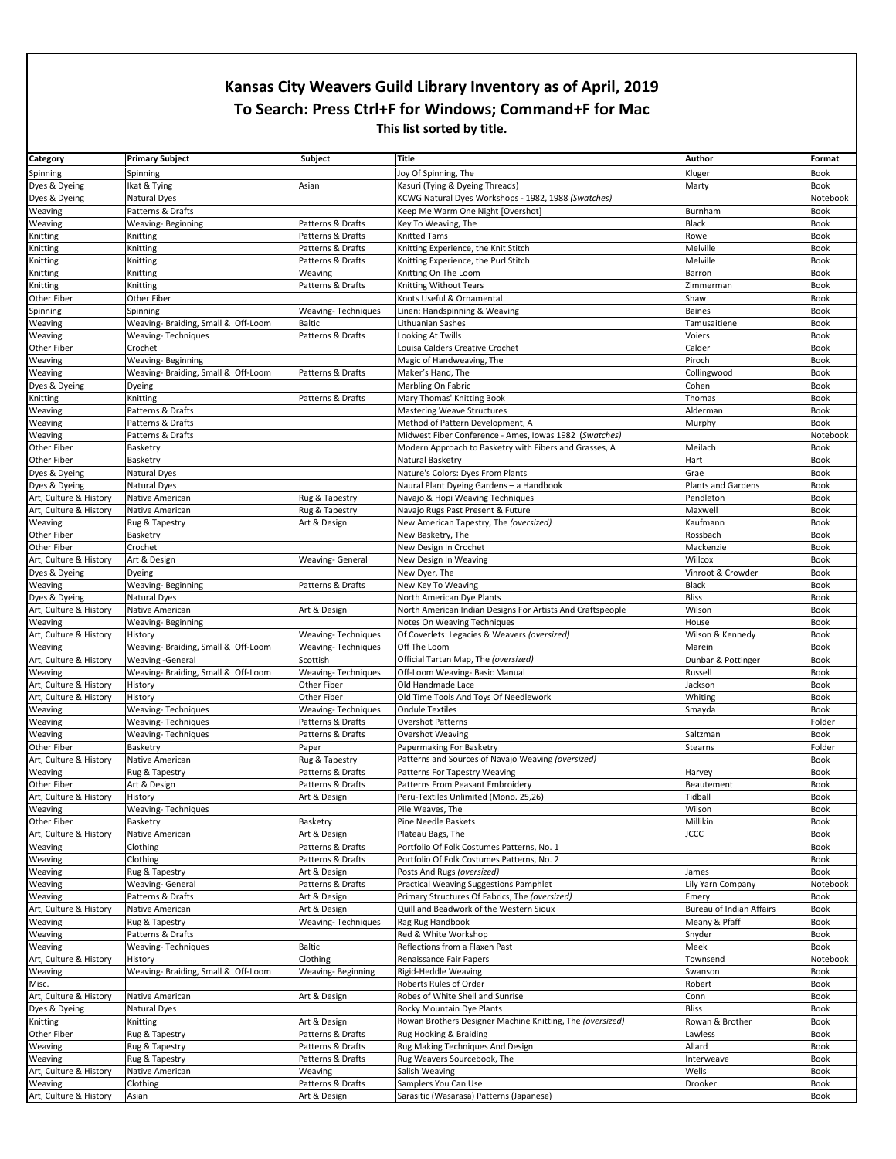| Category                          | <b>Primary Subject</b>              | Subject                                | <b>Title</b>                                               | Author                          | Format              |
|-----------------------------------|-------------------------------------|----------------------------------------|------------------------------------------------------------|---------------------------------|---------------------|
| Spinning                          | Spinning                            |                                        | Joy Of Spinning, The                                       | Kluger                          | <b>Book</b>         |
| Dyes & Dyeing                     | Ikat & Tying                        | Asian                                  | Kasuri (Tying & Dyeing Threads)                            | Marty                           | <b>Book</b>         |
| Dyes & Dyeing                     | <b>Natural Dyes</b>                 |                                        | KCWG Natural Dyes Workshops - 1982, 1988 (Swatches)        |                                 | Notebook            |
| Weaving                           | Patterns & Drafts                   |                                        | Keep Me Warm One Night [Overshot]                          | Burnham                         | Book                |
| Weaving                           | Weaving-Beginning                   | Patterns & Drafts                      | Key To Weaving, The                                        | Black                           | Book                |
| Knitting                          | Knitting                            | Patterns & Drafts                      | <b>Knitted Tams</b>                                        | Rowe                            | Book                |
| Knitting                          | Knitting                            | Patterns & Drafts                      | Knitting Experience, the Knit Stitch                       | Melville                        | <b>Book</b>         |
| Knitting                          | Knitting                            | Patterns & Drafts                      | Knitting Experience, the Purl Stitch                       | Melville                        | <b>Book</b>         |
| Knitting                          | Knitting                            | Weaving                                | Knitting On The Loom                                       | Barron                          | <b>Book</b>         |
| Knitting                          | Knitting                            | Patterns & Drafts                      | Knitting Without Tears                                     | Zimmerman                       | Book                |
| Other Fiber                       | Other Fiber                         |                                        | Knots Useful & Ornamental                                  | Shaw                            | <b>Book</b>         |
| Spinning                          | Spinning                            | Weaving-Techniques                     | Linen: Handspinning & Weaving                              | <b>Baines</b>                   | <b>Book</b>         |
| Weaving                           | Weaving- Braiding, Small & Off-Loom | <b>Baltic</b>                          | Lithuanian Sashes                                          | Tamusaitiene                    | Book                |
| Weaving                           | <b>Weaving-Techniques</b>           | Patterns & Drafts                      | Looking At Twills                                          | Voiers                          | Book                |
| Other Fiber                       | Crochet                             |                                        | Louisa Calders Creative Crochet                            | Calder                          | Book                |
| Weaving                           | Weaving-Beginning                   |                                        | Magic of Handweaving, The                                  | Piroch                          | Book                |
| Weaving                           | Weaving- Braiding, Small & Off-Loom | Patterns & Drafts                      | Maker's Hand, The                                          | Collingwood                     | <b>Book</b>         |
| Dyes & Dyeing                     | Dyeing                              |                                        | Marbling On Fabric                                         | Cohen                           | <b>Book</b>         |
| Knitting                          | Knitting                            | Patterns & Drafts                      | Mary Thomas' Knitting Book                                 | Thomas                          | Book                |
| Weaving                           | Patterns & Drafts                   |                                        | <b>Mastering Weave Structures</b>                          | Alderman                        | <b>Book</b>         |
| Weaving                           | Patterns & Drafts                   |                                        | Method of Pattern Development, A                           | Murphy                          | <b>Book</b>         |
| Weaving                           | Patterns & Drafts                   |                                        | Midwest Fiber Conference - Ames, Iowas 1982 (Swatches)     |                                 | Notebook            |
| Other Fiber                       | Basketry                            |                                        | Modern Approach to Basketry with Fibers and Grasses, A     | Meilach                         | Book                |
| Other Fiber                       | Basketry                            |                                        | Natural Basketry                                           | Hart                            | Book                |
| Dyes & Dyeing                     | Natural Dyes                        |                                        | Nature's Colors: Dyes From Plants                          | Grae                            | <b>Book</b>         |
| Dyes & Dyeing                     | Natural Dyes                        |                                        | Naural Plant Dyeing Gardens - a Handbook                   | <b>Plants and Gardens</b>       | <b>Book</b>         |
| Art, Culture & History            | Native American                     | Rug & Tapestry                         | Navajo & Hopi Weaving Techniques                           | Pendleton                       | <b>Book</b>         |
| Art, Culture & History            | Native American                     | Rug & Tapestry                         | Navajo Rugs Past Present & Future                          | Maxwell                         | Book                |
| Weaving                           | Rug & Tapestry                      | Art & Design                           | New American Tapestry, The (oversized)                     | Kaufmann                        | Book                |
| Other Fiber                       | Basketry                            |                                        | New Basketry, The                                          | Rossbach                        | Book                |
| Other Fiber                       | Crochet                             |                                        | New Design In Crochet                                      | Mackenzie                       | <b>Book</b>         |
| Art, Culture & History            | Art & Design                        | Weaving- General                       | New Design In Weaving                                      | Willcox                         | <b>Book</b>         |
| Dyes & Dyeing                     | Dyeing                              |                                        | New Dyer, The                                              | Vinroot & Crowder               | <b>Book</b>         |
| Weaving                           | Weaving-Beginning                   | Patterns & Drafts                      | New Key To Weaving                                         | Black                           | Book                |
| Dyes & Dyeing                     | Natural Dyes                        |                                        | North American Dye Plants                                  | <b>Bliss</b>                    | Book                |
| Art, Culture & History            | Native American                     | Art & Design                           | North American Indian Designs For Artists And Craftspeople | Wilson                          | Book                |
| Weaving                           | Weaving-Beginning                   |                                        | Notes On Weaving Techniques                                | House                           | Book                |
|                                   |                                     |                                        |                                                            |                                 |                     |
| Art, Culture & History            | History                             | Weaving-Techniques                     | Of Coverlets: Legacies & Weavers (oversized)               | Wilson & Kennedy                | Book                |
| Weaving                           | Weaving- Braiding, Small & Off-Loom | <b>Weaving-Techniques</b>              | Off The Loom                                               | Marein                          | <b>Book</b>         |
| Art, Culture & History            | <b>Weaving-General</b>              | Scottish                               | Official Tartan Map, The (oversized)                       | Dunbar & Pottinger              | <b>Book</b>         |
| Weaving                           | Weaving- Braiding, Small & Off-Loom | <b>Weaving-Techniques</b>              | Off-Loom Weaving- Basic Manual                             | Russell                         | Book                |
| Art, Culture & History            | History                             | Other Fiber                            | Old Handmade Lace                                          | Jackson                         | <b>Book</b>         |
| Art, Culture & History            | History                             | Other Fiber                            | Old Time Tools And Toys Of Needlework                      | Whiting                         | <b>Book</b>         |
| Weaving                           | <b>Weaving-Techniques</b>           | Weaving-Techniques                     | <b>Ondule Textiles</b>                                     | Smayda                          | <b>Book</b>         |
| Weaving                           | <b>Weaving-Techniques</b>           | Patterns & Drafts                      | <b>Overshot Patterns</b>                                   |                                 | Folder              |
| Weaving                           | <b>Weaving-Techniques</b>           | Patterns & Drafts                      | Overshot Weaving                                           | Saltzman                        | <b>Book</b>         |
| <b>Other Fiber</b>                | Basketry                            | Paper                                  | Papermaking For Basketry                                   | Stearns                         | Folder              |
| Art, Culture & History            | Native American                     | Rug & Tapestry                         | Patterns and Sources of Navajo Weaving (oversized)         |                                 | Book                |
| Weaving                           | Rug & Tapestry                      | Patterns & Drafts                      | Patterns For Tapestry Weaving                              | Harvey                          | Book                |
| Other Fiber                       | Art & Design                        | Patterns & Drafts                      | Patterns From Peasant Embroidery                           | Beautement                      | Book                |
| Art, Culture & History            | History                             | Art & Design                           | Peru-Textiles Unlimited (Mono. 25,26)                      | Tidball                         | Book                |
| Weaving                           | <b>Weaving-Techniques</b>           |                                        | Pile Weaves, The                                           | Wilson                          | Book                |
| Other Fiber                       | Basketry                            | Basketry                               | Pine Needle Baskets                                        | Millikin                        | Book                |
| Art, Culture & History            | Native American                     | Art & Design                           | Plateau Bags, The                                          | <b>JCCC</b>                     | <b>Book</b>         |
| Weaving                           | Clothing                            | Patterns & Drafts                      | Portfolio Of Folk Costumes Patterns, No. 1                 |                                 | Book                |
| Weaving                           | Clothing                            | Patterns & Drafts                      | Portfolio Of Folk Costumes Patterns, No. 2                 |                                 | Book                |
| Weaving                           | Rug & Tapestry                      | Art & Design                           | Posts And Rugs (oversized)                                 | James                           | Book                |
| Weaving                           | <b>Weaving-General</b>              | Patterns & Drafts                      | <b>Practical Weaving Suggestions Pamphlet</b>              | Lily Yarn Company               | Notebook            |
| Weaving                           | Patterns & Drafts                   | Art & Design                           | Primary Structures Of Fabrics, The (oversized)             | Emery                           | Book                |
| Art, Culture & History            | Native American                     | Art & Design                           | Quill and Beadwork of the Western Sioux                    | <b>Bureau of Indian Affairs</b> | <b>Book</b>         |
| Weaving                           | Rug & Tapestry                      | <b>Weaving-Techniques</b>              | Rag Rug Handbook                                           | Meany & Pfaff                   | Book                |
| Weaving                           | Patterns & Drafts                   |                                        | Red & White Workshop                                       | Snyder                          | Book                |
| Weaving                           | Weaving-Techniques                  | Baltic                                 | Reflections from a Flaxen Past                             | Meek                            | <b>Book</b>         |
| Art, Culture & History            | History                             | Clothing                               | Renaissance Fair Papers                                    | Townsend                        | Notebook            |
| Weaving                           | Weaving- Braiding, Small & Off-Loom | Weaving-Beginning                      | Rigid-Heddle Weaving                                       | Swanson                         | Book                |
| Misc.                             |                                     |                                        | Roberts Rules of Order                                     | Robert                          | Book                |
| Art, Culture & History            | Native American                     | Art & Design                           | Robes of White Shell and Sunrise                           | Conn                            | Book                |
| Dyes & Dyeing                     | Natural Dyes                        |                                        | Rocky Mountain Dye Plants                                  | Bliss                           | Book                |
| Knitting                          | Knitting                            | Art & Design                           | Rowan Brothers Designer Machine Knitting, The (oversized)  | Rowan & Brother                 | <b>Book</b>         |
| Other Fiber                       | Rug & Tapestry                      | Patterns & Drafts                      | Rug Hooking & Braiding                                     | Lawless<br>Allard               | Book                |
| Weaving                           | Rug & Tapestry                      | Patterns & Drafts<br>Patterns & Drafts | Rug Making Techniques And Design                           | Interweave                      | Book<br><b>Book</b> |
| Weaving                           | Rug & Tapestry<br>Native American   | Weaving                                | Rug Weavers Sourcebook, The                                | Wells                           | Book                |
| Art, Culture & History<br>Weaving | Clothing                            | Patterns & Drafts                      | Salish Weaving<br>Samplers You Can Use                     | Drooker                         | Book                |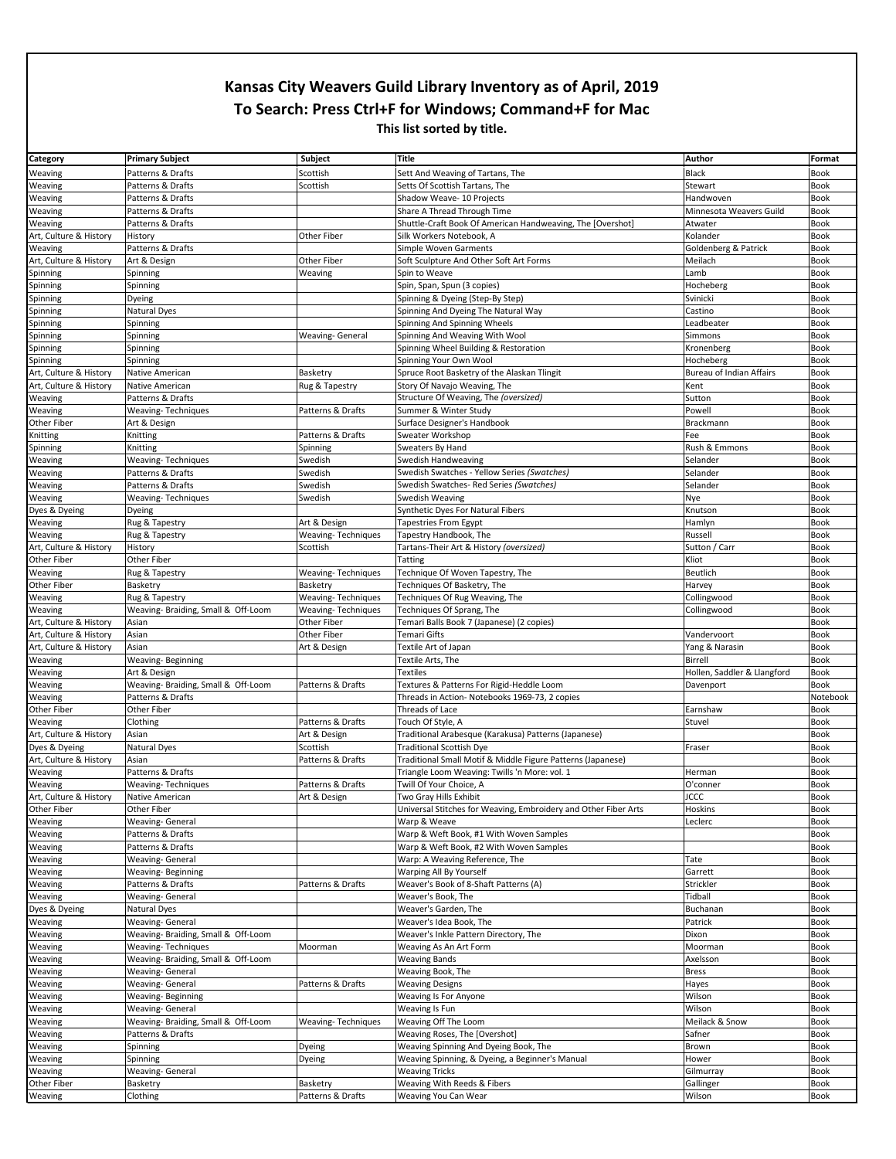| Category               | <b>Primary Subject</b>                                   | <b>Subject</b>            | <b>Title</b>                                                                                | Author                      | Format      |
|------------------------|----------------------------------------------------------|---------------------------|---------------------------------------------------------------------------------------------|-----------------------------|-------------|
| Weaving                | Patterns & Drafts                                        | Scottish                  | Sett And Weaving of Tartans, The                                                            | Black                       | Book        |
| Weaving                | Patterns & Drafts                                        | Scottish                  | Setts Of Scottish Tartans, The                                                              | Stewart                     | Book        |
| Weaving                | Patterns & Drafts                                        |                           | Shadow Weave- 10 Projects                                                                   | Handwoven                   | <b>Book</b> |
| Weaving                | Patterns & Drafts                                        |                           | Share A Thread Through Time                                                                 | Minnesota Weavers Guild     | Book        |
| Weaving                | Patterns & Drafts                                        |                           | Shuttle-Craft Book Of American Handweaving, The [Overshot]                                  | Atwater                     | <b>Book</b> |
| Art, Culture & History | History                                                  | <b>Other Fiber</b>        | Silk Workers Notebook, A                                                                    | Kolander                    | <b>Book</b> |
| Weaving                | Patterns & Drafts                                        |                           | Simple Woven Garments                                                                       | Goldenberg & Patrick        | Book        |
| Art, Culture & History | Art & Design                                             | Other Fiber               | Soft Sculpture And Other Soft Art Forms                                                     | Meilach                     | Book        |
| Spinning               | Spinning                                                 | Weaving                   | Spin to Weave                                                                               | Lamb                        | <b>Book</b> |
| Spinning               | Spinning                                                 |                           | Spin, Span, Spun (3 copies)                                                                 | Hocheberg                   | Book        |
| Spinning               | Dyeing                                                   |                           | Spinning & Dyeing (Step-By Step)                                                            | Svinicki                    | Book        |
| Spinning               | Natural Dyes                                             |                           | Spinning And Dyeing The Natural Way                                                         | Castino                     | <b>Book</b> |
| Spinning               | Spinning                                                 |                           | Spinning And Spinning Wheels                                                                | Leadbeater                  | Book        |
| Spinning               | Spinning                                                 | Weaving- General          | Spinning And Weaving With Wool                                                              | Simmons                     | Book        |
| Spinning               | Spinning                                                 |                           | Spinning Wheel Building & Restoration                                                       | Kronenberg                  | <b>Book</b> |
| Spinning               |                                                          |                           | Spinning Your Own Wool                                                                      |                             | Book        |
|                        | Spinning                                                 |                           |                                                                                             | Hocheberg                   |             |
| Art, Culture & History | Native American                                          | Basketry                  | Spruce Root Basketry of the Alaskan Tlingit                                                 | Bureau of Indian Affairs    | Book        |
| Art, Culture & History | Native American                                          | Rug & Tapestry            | Story Of Navajo Weaving, The                                                                | Kent                        | <b>Book</b> |
| Weaving                | Patterns & Drafts                                        |                           | Structure Of Weaving, The (oversized)                                                       | Sutton                      | Book        |
| Weaving                | <b>Weaving-Techniques</b>                                | Patterns & Drafts         | Summer & Winter Study                                                                       | Powell                      | Book        |
| Other Fiber            | Art & Design                                             |                           | Surface Designer's Handbook                                                                 | Brackmann                   | <b>Book</b> |
| Knitting               | Knitting                                                 | Patterns & Drafts         | Sweater Workshop                                                                            | Fee                         | <b>Book</b> |
| Spinning               | Knitting                                                 | Spinning                  | Sweaters By Hand                                                                            | Rush & Emmons               | Book        |
| Weaving                | <b>Weaving-Techniques</b>                                | Swedish                   | Swedish Handweaving                                                                         | Selander                    | <b>Book</b> |
| Weaving                | Patterns & Drafts                                        | Swedish                   | Swedish Swatches - Yellow Series (Swatches)                                                 | Selander                    | <b>Book</b> |
| Weaving                | Patterns & Drafts                                        | Swedish                   | Swedish Swatches- Red Series (Swatches)                                                     | Selander                    | Book        |
| Weaving                | <b>Weaving-Techniques</b>                                | Swedish                   | Swedish Weaving                                                                             | Nye                         | Book        |
| Dyes & Dyeing          | Dyeing                                                   |                           | Synthetic Dyes For Natural Fibers                                                           | Knutson                     | <b>Book</b> |
| Weaving                | Rug & Tapestry                                           | Art & Design              | Tapestries From Egypt                                                                       | Hamlyn                      | Book        |
| Weaving                | Rug & Tapestry                                           | Weaving-Techniques        | Tapestry Handbook, The                                                                      | Russell                     | <b>Book</b> |
| Art, Culture & History | History                                                  | Scottish                  | Tartans-Their Art & History (oversized)                                                     | Sutton / Carr               | <b>Book</b> |
| Other Fiber            | Other Fiber                                              |                           | Tatting                                                                                     | Kliot                       | Book        |
| Weaving                | Rug & Tapestry                                           | Weaving-Techniques        | Technique Of Woven Tapestry, The                                                            | Beutlich                    | Book        |
| Other Fiber            | Basketry                                                 | Basketry                  | Techniques Of Basketry, The                                                                 | Harvey                      | <b>Book</b> |
| Weaving                | Rug & Tapestry                                           | Weaving-Techniques        | Techniques Of Rug Weaving, The                                                              | Collingwood                 | <b>Book</b> |
| Weaving                | Weaving- Braiding, Small & Off-Loom                      | <b>Weaving-Techniques</b> | Techniques Of Sprang, The                                                                   | Collingwood                 | Book        |
| Art, Culture & History | Asian                                                    | Other Fiber               | Temari Balls Book 7 (Japanese) (2 copies)                                                   |                             | <b>Book</b> |
| Art, Culture & History | Asian                                                    | Other Fiber               | Temari Gifts                                                                                | Vandervoort                 | Book        |
| Art, Culture & History | Asian                                                    | Art & Design              | Textile Art of Japan                                                                        | Yang & Narasin              | Book        |
| Weaving                | Weaving-Beginning                                        |                           | Textile Arts, The                                                                           | Birrell                     | <b>Book</b> |
|                        | Art & Design                                             |                           | <b>Textiles</b>                                                                             | Hollen, Saddler & Llangford | <b>Book</b> |
| Weaving                |                                                          |                           |                                                                                             | Davenport                   | Book        |
| Weaving                | Weaving- Braiding, Small & Off-Loom<br>Patterns & Drafts | Patterns & Drafts         | Textures & Patterns For Rigid-Heddle Loom<br>Threads in Action- Notebooks 1969-73, 2 copies |                             | Notebook    |
| Weaving                |                                                          |                           |                                                                                             |                             |             |
| Other Fiber            | Other Fiber                                              |                           | Threads of Lace                                                                             | Earnshaw                    | <b>Book</b> |
| Weaving                | Clothing                                                 | Patterns & Drafts         | Touch Of Style, A                                                                           | Stuvel                      | Book        |
| Art, Culture & History | Asian                                                    | Art & Design              | Traditional Arabesque (Karakusa) Patterns (Japanese)                                        |                             | <b>Book</b> |
| Dyes & Dyeing          | Natural Dyes                                             | Scottish                  | <b>Traditional Scottish Dye</b>                                                             | Fraser                      | <b>Book</b> |
| Art, Culture & History | Asian                                                    | Patterns & Drafts         | Traditional Small Motif & Middle Figure Patterns (Japanese)                                 |                             | <b>Book</b> |
| Weaving                | Patterns & Drafts                                        |                           | Triangle Loom Weaving: Twills 'n More: vol. 1                                               | Herman                      | <b>Book</b> |
| Weaving                | Weaving-Techniques                                       | Patterns & Drafts         | Twill Of Your Choice, A                                                                     | O'conner                    | Book        |
| Art, Culture & History | Native American                                          | Art & Design              | Two Gray Hills Exhibit                                                                      | <b>JCCC</b>                 | Book        |
| Other Fiber            | Other Fiber                                              |                           | Universal Stitches for Weaving, Embroidery and Other Fiber Arts                             | Hoskins                     | Book        |
| Weaving                | Weaving-General                                          |                           | Warp & Weave                                                                                | Leclerc                     | <b>Book</b> |
| Weaving                | Patterns & Drafts                                        |                           | Warp & Weft Book, #1 With Woven Samples                                                     |                             | <b>Book</b> |
| Weaving                | Patterns & Drafts                                        |                           | Warp & Weft Book, #2 With Woven Samples                                                     |                             | <b>Book</b> |
| Weaving                | <b>Weaving-General</b>                                   |                           | Warp: A Weaving Reference, The                                                              | Tate                        | Book        |
| Weaving                | Weaving-Beginning                                        |                           | Warping All By Yourself                                                                     | Garrett                     | <b>Book</b> |
| Weaving                | Patterns & Drafts                                        | Patterns & Drafts         | Weaver's Book of 8-Shaft Patterns (A)                                                       | Strickler                   | <b>Book</b> |
| Weaving                | <b>Weaving-General</b>                                   |                           | Weaver's Book, The                                                                          | Tidball                     | <b>Book</b> |
| Dyes & Dyeing          | Natural Dyes                                             |                           | Weaver's Garden, The                                                                        | Buchanan                    | Book        |
| Weaving                | <b>Weaving-General</b>                                   |                           | Weaver's Idea Book, The                                                                     | Patrick                     | <b>Book</b> |
| Weaving                | Weaving- Braiding, Small & Off-Loom                      |                           | Weaver's Inkle Pattern Directory, The                                                       | Dixon                       | <b>Book</b> |
| Weaving                | <b>Weaving-Techniques</b>                                | Moorman                   | Weaving As An Art Form                                                                      | Moorman                     | Book        |
| Weaving                | Weaving- Braiding, Small & Off-Loom                      |                           | <b>Weaving Bands</b>                                                                        | Axelsson                    | Book        |
| Weaving                | <b>Weaving-General</b>                                   |                           | Weaving Book, The                                                                           | <b>Bress</b>                | <b>Book</b> |
| Weaving                | <b>Weaving-General</b>                                   | Patterns & Drafts         | <b>Weaving Designs</b>                                                                      | Hayes                       | Book        |
| Weaving                | Weaving-Beginning                                        |                           | Weaving Is For Anyone                                                                       | Wilson                      | <b>Book</b> |
| Weaving                | <b>Weaving-General</b>                                   |                           | Weaving Is Fun                                                                              | Wilson                      | Book        |
| Weaving                | Weaving- Braiding, Small & Off-Loom                      | <b>Weaving-Techniques</b> | Weaving Off The Loom                                                                        | Meilack & Snow              | Book        |
|                        |                                                          |                           |                                                                                             |                             | <b>Book</b> |
| Weaving                | Patterns & Drafts                                        |                           | Weaving Roses, The [Overshot]                                                               | Safner                      |             |
| Weaving                | Spinning                                                 | Dyeing                    | Weaving Spinning And Dyeing Book, The                                                       | Brown                       | <b>Book</b> |
| Weaving                | Spinning                                                 | Dyeing                    | Weaving Spinning, & Dyeing, a Beginner's Manual                                             | Hower                       | Book        |
| Weaving                | Weaving- General                                         |                           | <b>Weaving Tricks</b>                                                                       | Gilmurray                   | <b>Book</b> |
|                        | Basketry                                                 | Basketry                  | Weaving With Reeds & Fibers                                                                 | Gallinger                   | Book        |
| Other Fiber<br>Weaving | Clothing                                                 | Patterns & Drafts         | Weaving You Can Wear                                                                        | Wilson                      | Book        |